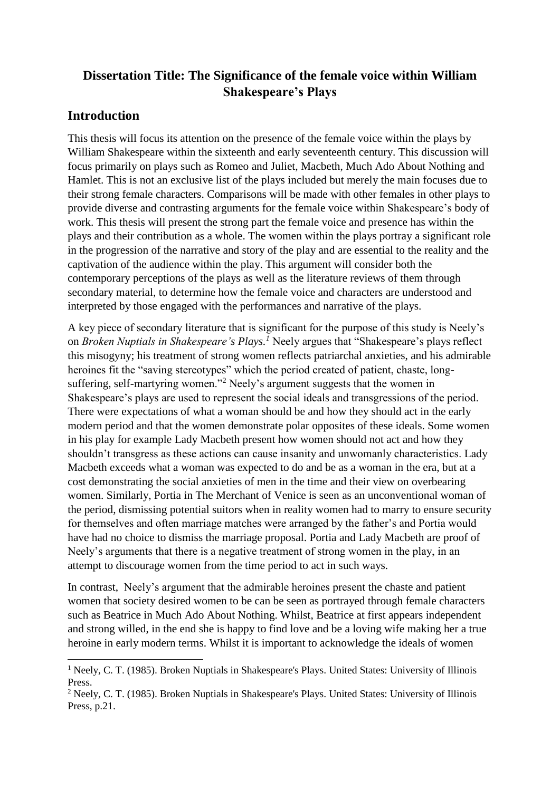## **Dissertation Title: The Significance of the female voice within William Shakespeare's Plays**

## **Introduction**

**.** 

This thesis will focus its attention on the presence of the female voice within the plays by William Shakespeare within the sixteenth and early seventeenth century. This discussion will focus primarily on plays such as Romeo and Juliet, Macbeth, Much Ado About Nothing and Hamlet. This is not an exclusive list of the plays included but merely the main focuses due to their strong female characters. Comparisons will be made with other females in other plays to provide diverse and contrasting arguments for the female voice within Shakespeare's body of work. This thesis will present the strong part the female voice and presence has within the plays and their contribution as a whole. The women within the plays portray a significant role in the progression of the narrative and story of the play and are essential to the reality and the captivation of the audience within the play. This argument will consider both the contemporary perceptions of the plays as well as the literature reviews of them through secondary material, to determine how the female voice and characters are understood and interpreted by those engaged with the performances and narrative of the plays.

A key piece of secondary literature that is significant for the purpose of this study is Neely's on *Broken Nuptials in Shakespeare's Plays.<sup>1</sup>* Neely argues that "Shakespeare's plays reflect this misogyny; his treatment of strong women reflects patriarchal anxieties, and his admirable heroines fit the "saving stereotypes" which the period created of patient, chaste, longsuffering, self-martyring women."<sup>2</sup> Neely's argument suggests that the women in Shakespeare's plays are used to represent the social ideals and transgressions of the period. There were expectations of what a woman should be and how they should act in the early modern period and that the women demonstrate polar opposites of these ideals. Some women in his play for example Lady Macbeth present how women should not act and how they shouldn't transgress as these actions can cause insanity and unwomanly characteristics. Lady Macbeth exceeds what a woman was expected to do and be as a woman in the era, but at a cost demonstrating the social anxieties of men in the time and their view on overbearing women. Similarly, Portia in The Merchant of Venice is seen as an unconventional woman of the period, dismissing potential suitors when in reality women had to marry to ensure security for themselves and often marriage matches were arranged by the father's and Portia would have had no choice to dismiss the marriage proposal. Portia and Lady Macbeth are proof of Neely's arguments that there is a negative treatment of strong women in the play, in an attempt to discourage women from the time period to act in such ways.

In contrast, Neely's argument that the admirable heroines present the chaste and patient women that society desired women to be can be seen as portrayed through female characters such as Beatrice in Much Ado About Nothing. Whilst, Beatrice at first appears independent and strong willed, in the end she is happy to find love and be a loving wife making her a true heroine in early modern terms. Whilst it is important to acknowledge the ideals of women

<sup>&</sup>lt;sup>1</sup> Neely, C. T. (1985). Broken Nuptials in Shakespeare's Plays. United States: University of Illinois Press.

<sup>&</sup>lt;sup>2</sup> Neely, C. T. (1985). Broken Nuptials in Shakespeare's Plays. United States: University of Illinois Press, p.21.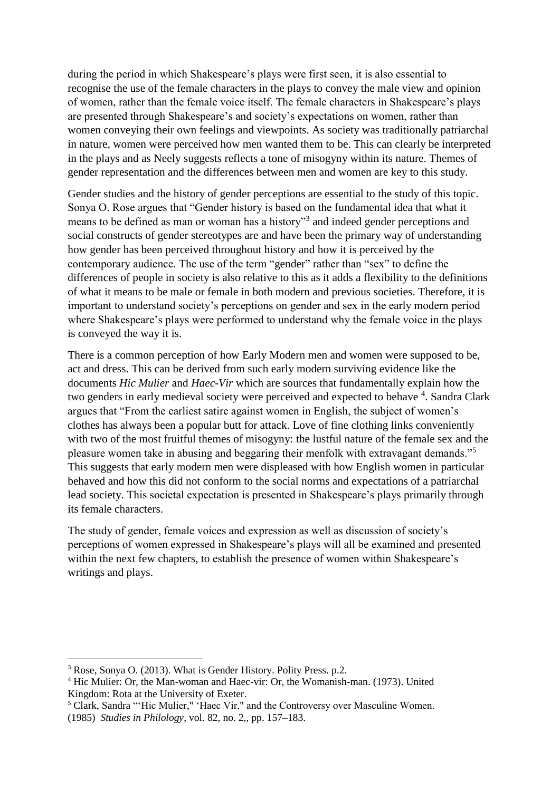during the period in which Shakespeare's plays were first seen, it is also essential to recognise the use of the female characters in the plays to convey the male view and opinion of women, rather than the female voice itself. The female characters in Shakespeare's plays are presented through Shakespeare's and society's expectations on women, rather than women conveying their own feelings and viewpoints. As society was traditionally patriarchal in nature, women were perceived how men wanted them to be. This can clearly be interpreted in the plays and as Neely suggests reflects a tone of misogyny within its nature. Themes of gender representation and the differences between men and women are key to this study.

Gender studies and the history of gender perceptions are essential to the study of this topic. Sonya O. Rose argues that "Gender history is based on the fundamental idea that what it means to be defined as man or woman has a history"<sup>3</sup> and indeed gender perceptions and social constructs of gender stereotypes are and have been the primary way of understanding how gender has been perceived throughout history and how it is perceived by the contemporary audience. The use of the term "gender" rather than "sex" to define the differences of people in society is also relative to this as it adds a flexibility to the definitions of what it means to be male or female in both modern and previous societies. Therefore, it is important to understand society's perceptions on gender and sex in the early modern period where Shakespeare's plays were performed to understand why the female voice in the plays is conveyed the way it is.

There is a common perception of how Early Modern men and women were supposed to be, act and dress. This can be derived from such early modern surviving evidence like the documents *Hic Mulier* and *Haec-Vir* which are sources that fundamentally explain how the two genders in early medieval society were perceived and expected to behave <sup>4</sup>. Sandra Clark argues that "From the earliest satire against women in English, the subject of women's clothes has always been a popular butt for attack. Love of fine clothing links conveniently with two of the most fruitful themes of misogyny: the lustful nature of the female sex and the pleasure women take in abusing and beggaring their menfolk with extravagant demands."<sup>5</sup> This suggests that early modern men were displeased with how English women in particular behaved and how this did not conform to the social norms and expectations of a patriarchal lead society. This societal expectation is presented in Shakespeare's plays primarily through its female characters.

The study of gender, female voices and expression as well as discussion of society's perceptions of women expressed in Shakespeare's plays will all be examined and presented within the next few chapters, to establish the presence of women within Shakespeare's writings and plays.

**.** 

<sup>3</sup> Rose, Sonya O. (2013). What is Gender History. Polity Press. p.2.

<sup>4</sup> Hic Mulier: Or, the Man-woman and Haec-vir: Or, the Womanish-man. (1973). United Kingdom: Rota at the University of Exeter.

<sup>5</sup> Clark, Sandra "'Hic Mulier," 'Haec Vir," and the Controversy over Masculine Women. (1985) *Studies in Philology*, vol. 82, no. 2,, pp. 157–183.